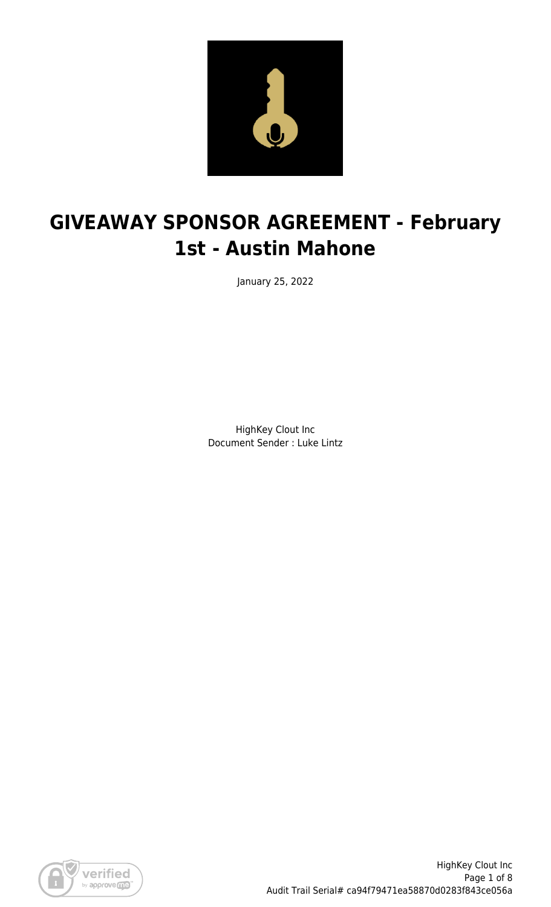

# **GIVEAWAY SPONSOR AGREEMENT - February 1st - Austin Mahone**

January 25, 2022

HighKey Clout Inc Document Sender : Luke Lintz

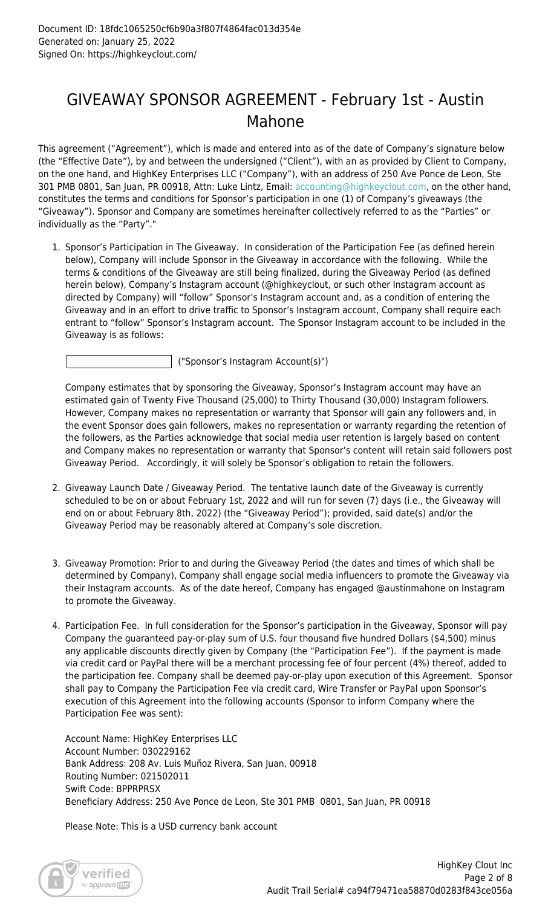### GIVEAWAY SPONSOR AGREEMENT - February 1st - Austin Mahone

This agreement ("Agreement"), which is made and entered into as of the date of Company's signature below (the "Effective Date"), by and between the undersigned ("Client"), with an as provided by Client to Company, on the one hand, and HighKey Enterprises LLC ("Company"), with an address of 250 Ave Ponce de Leon, Ste 301 PMB 0801, San Juan, PR 00918, Attn: Luke Lintz, Email: [accounting@highkeyclout.com,](mailto:accounting@highkeyclout.com) on the other hand, constitutes the terms and conditions for Sponsor's participation in one (1) of Company's giveaways (the "Giveaway"). Sponsor and Company are sometimes hereinafter collectively referred to as the "Parties" or individually as the "Party"."

1. Sponsor's Participation in The Giveaway. In consideration of the Participation Fee (as defined herein below), Company will include Sponsor in the Giveaway in accordance with the following. While the terms & conditions of the Giveaway are still being finalized, during the Giveaway Period (as defined herein below), Company's Instagram account (@highkeyclout, or such other Instagram account as directed by Company) will "follow" Sponsor's Instagram account and, as a condition of entering the Giveaway and in an effort to drive traffic to Sponsor's Instagram account, Company shall require each entrant to "follow" Sponsor's Instagram account. The Sponsor Instagram account to be included in the Giveaway is as follows:

("Sponsor's Instagram Account(s)")

Company estimates that by sponsoring the Giveaway, Sponsor's Instagram account may have an estimated gain of Twenty Five Thousand (25,000) to Thirty Thousand (30,000) Instagram followers. However, Company makes no representation or warranty that Sponsor will gain any followers and, in the event Sponsor does gain followers, makes no representation or warranty regarding the retention of the followers, as the Parties acknowledge that social media user retention is largely based on content and Company makes no representation or warranty that Sponsor's content will retain said followers post Giveaway Period. Accordingly, it will solely be Sponsor's obligation to retain the followers.

- 2. Giveaway Launch Date / Giveaway Period. The tentative launch date of the Giveaway is currently scheduled to be on or about February 1st, 2022 and will run for seven (7) days (i.e., the Giveaway will end on or about February 8th, 2022) (the "Giveaway Period"); provided, said date(s) and/or the Giveaway Period may be reasonably altered at Company's sole discretion.
- 3. Giveaway Promotion: Prior to and during the Giveaway Period (the dates and times of which shall be determined by Company), Company shall engage social media influencers to promote the Giveaway via their Instagram accounts. As of the date hereof, Company has engaged @austinmahone on Instagram to promote the Giveaway.
- 4. Participation Fee. In full consideration for the Sponsor's participation in the Giveaway, Sponsor will pay Company the guaranteed pay-or-play sum of U.S. four thousand five hundred Dollars (\$4,500) minus any applicable discounts directly given by Company (the "Participation Fee"). If the payment is made via credit card or PayPal there will be a merchant processing fee of four percent (4%) thereof, added to the participation fee. Company shall be deemed pay-or-play upon execution of this Agreement. Sponsor shall pay to Company the Participation Fee via credit card, Wire Transfer or PayPal upon Sponsor's execution of this Agreement into the following accounts (Sponsor to inform Company where the Participation Fee was sent):

Account Name: HighKey Enterprises LLC Account Number: 030229162 Bank Address: 208 Av. Luis Muñoz Rivera, San Juan, 00918 Routing Number: 021502011 Swift Code: BPPRPRSX Beneficiary Address: 250 Ave Ponce de Leon, Ste 301 PMB 0801, San Juan, PR 00918

Please Note: This is a USD currency bank account

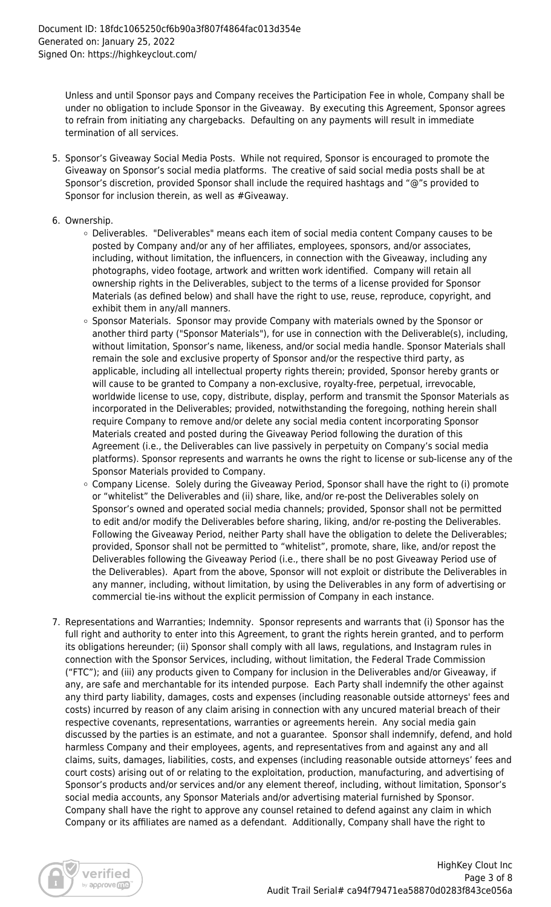Unless and until Sponsor pays and Company receives the Participation Fee in whole, Company shall be under no obligation to include Sponsor in the Giveaway. By executing this Agreement, Sponsor agrees to refrain from initiating any chargebacks. Defaulting on any payments will result in immediate termination of all services.

- 5. Sponsor's Giveaway Social Media Posts. While not required, Sponsor is encouraged to promote the Giveaway on Sponsor's social media platforms. The creative of said social media posts shall be at Sponsor's discretion, provided Sponsor shall include the required hashtags and "@"s provided to Sponsor for inclusion therein, as well as #Giveaway.
- 6. Ownership.
	- Deliverables. "Deliverables" means each item of social media content Company causes to be posted by Company and/or any of her affiliates, employees, sponsors, and/or associates, including, without limitation, the influencers, in connection with the Giveaway, including any photographs, video footage, artwork and written work identified. Company will retain all ownership rights in the Deliverables, subject to the terms of a license provided for Sponsor Materials (as defined below) and shall have the right to use, reuse, reproduce, copyright, and exhibit them in any/all manners.
	- o Sponsor Materials. Sponsor may provide Company with materials owned by the Sponsor or another third party ("Sponsor Materials"), for use in connection with the Deliverable(s), including, without limitation, Sponsor's name, likeness, and/or social media handle. Sponsor Materials shall remain the sole and exclusive property of Sponsor and/or the respective third party, as applicable, including all intellectual property rights therein; provided, Sponsor hereby grants or will cause to be granted to Company a non-exclusive, royalty-free, perpetual, irrevocable, worldwide license to use, copy, distribute, display, perform and transmit the Sponsor Materials as incorporated in the Deliverables; provided, notwithstanding the foregoing, nothing herein shall require Company to remove and/or delete any social media content incorporating Sponsor Materials created and posted during the Giveaway Period following the duration of this Agreement (i.e., the Deliverables can live passively in perpetuity on Company's social media platforms). Sponsor represents and warrants he owns the right to license or sub-license any of the Sponsor Materials provided to Company.
	- o Company License. Solely during the Giveaway Period, Sponsor shall have the right to (i) promote or "whitelist" the Deliverables and (ii) share, like, and/or re-post the Deliverables solely on Sponsor's owned and operated social media channels; provided, Sponsor shall not be permitted to edit and/or modify the Deliverables before sharing, liking, and/or re-posting the Deliverables. Following the Giveaway Period, neither Party shall have the obligation to delete the Deliverables; provided, Sponsor shall not be permitted to "whitelist", promote, share, like, and/or repost the Deliverables following the Giveaway Period (i.e., there shall be no post Giveaway Period use of the Deliverables). Apart from the above, Sponsor will not exploit or distribute the Deliverables in any manner, including, without limitation, by using the Deliverables in any form of advertising or commercial tie-ins without the explicit permission of Company in each instance.
- 7. Representations and Warranties; Indemnity. Sponsor represents and warrants that (i) Sponsor has the full right and authority to enter into this Agreement, to grant the rights herein granted, and to perform its obligations hereunder; (ii) Sponsor shall comply with all laws, regulations, and Instagram rules in connection with the Sponsor Services, including, without limitation, the Federal Trade Commission ("FTC"); and (iii) any products given to Company for inclusion in the Deliverables and/or Giveaway, if any, are safe and merchantable for its intended purpose. Each Party shall indemnify the other against any third party liability, damages, costs and expenses (including reasonable outside attorneys' fees and costs) incurred by reason of any claim arising in connection with any uncured material breach of their respective covenants, representations, warranties or agreements herein. Any social media gain discussed by the parties is an estimate, and not a guarantee. Sponsor shall indemnify, defend, and hold harmless Company and their employees, agents, and representatives from and against any and all claims, suits, damages, liabilities, costs, and expenses (including reasonable outside attorneys' fees and court costs) arising out of or relating to the exploitation, production, manufacturing, and advertising of Sponsor's products and/or services and/or any element thereof, including, without limitation, Sponsor's social media accounts, any Sponsor Materials and/or advertising material furnished by Sponsor. Company shall have the right to approve any counsel retained to defend against any claim in which Company or its affiliates are named as a defendant. Additionally, Company shall have the right to

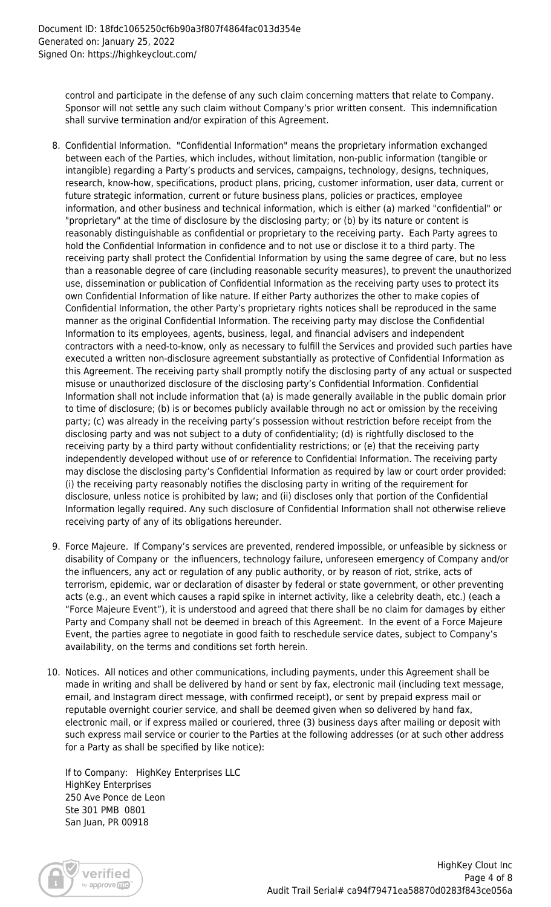control and participate in the defense of any such claim concerning matters that relate to Company. Sponsor will not settle any such claim without Company's prior written consent. This indemnification shall survive termination and/or expiration of this Agreement.

- 8. Confidential Information. "Confidential Information" means the proprietary information exchanged between each of the Parties, which includes, without limitation, non-public information (tangible or intangible) regarding a Party's products and services, campaigns, technology, designs, techniques, research, know-how, specifications, product plans, pricing, customer information, user data, current or future strategic information, current or future business plans, policies or practices, employee information, and other business and technical information, which is either (a) marked "confidential" or "proprietary" at the time of disclosure by the disclosing party; or (b) by its nature or content is reasonably distinguishable as confidential or proprietary to the receiving party. Each Party agrees to hold the Confidential Information in confidence and to not use or disclose it to a third party. The receiving party shall protect the Confidential Information by using the same degree of care, but no less than a reasonable degree of care (including reasonable security measures), to prevent the unauthorized use, dissemination or publication of Confidential Information as the receiving party uses to protect its own Confidential Information of like nature. If either Party authorizes the other to make copies of Confidential Information, the other Party's proprietary rights notices shall be reproduced in the same manner as the original Confidential Information. The receiving party may disclose the Confidential Information to its employees, agents, business, legal, and financial advisers and independent contractors with a need-to-know, only as necessary to fulfill the Services and provided such parties have executed a written non-disclosure agreement substantially as protective of Confidential Information as this Agreement. The receiving party shall promptly notify the disclosing party of any actual or suspected misuse or unauthorized disclosure of the disclosing party's Confidential Information. Confidential Information shall not include information that (a) is made generally available in the public domain prior to time of disclosure; (b) is or becomes publicly available through no act or omission by the receiving party; (c) was already in the receiving party's possession without restriction before receipt from the disclosing party and was not subject to a duty of confidentiality; (d) is rightfully disclosed to the receiving party by a third party without confidentiality restrictions; or (e) that the receiving party independently developed without use of or reference to Confidential Information. The receiving party may disclose the disclosing party's Confidential Information as required by law or court order provided: (i) the receiving party reasonably notifies the disclosing party in writing of the requirement for disclosure, unless notice is prohibited by law; and (ii) discloses only that portion of the Confidential Information legally required. Any such disclosure of Confidential Information shall not otherwise relieve receiving party of any of its obligations hereunder.
- 9. Force Majeure. If Company's services are prevented, rendered impossible, or unfeasible by sickness or disability of Company or the influencers, technology failure, unforeseen emergency of Company and/or the influencers, any act or regulation of any public authority, or by reason of riot, strike, acts of terrorism, epidemic, war or declaration of disaster by federal or state government, or other preventing acts (e.g., an event which causes a rapid spike in internet activity, like a celebrity death, etc.) (each a "Force Majeure Event"), it is understood and agreed that there shall be no claim for damages by either Party and Company shall not be deemed in breach of this Agreement. In the event of a Force Majeure Event, the parties agree to negotiate in good faith to reschedule service dates, subject to Company's availability, on the terms and conditions set forth herein.
- 10. Notices. All notices and other communications, including payments, under this Agreement shall be made in writing and shall be delivered by hand or sent by fax, electronic mail (including text message, email, and Instagram direct message, with confirmed receipt), or sent by prepaid express mail or reputable overnight courier service, and shall be deemed given when so delivered by hand fax, electronic mail, or if express mailed or couriered, three (3) business days after mailing or deposit with such express mail service or courier to the Parties at the following addresses (or at such other address for a Party as shall be specified by like notice):

If to Company: HighKey Enterprises LLC HighKey Enterprises 250 Ave Ponce de Leon Ste 301 PMB 0801 San Juan, PR 00918

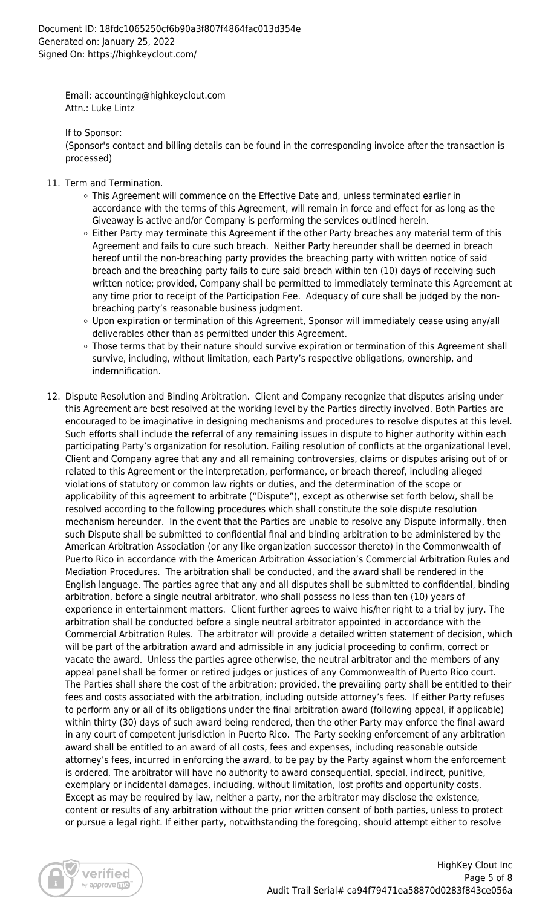Email: accounting@highkeyclout.com Attn.: Luke Lintz

If to Sponsor:

(Sponsor's contact and billing details can be found in the corresponding invoice after the transaction is processed)

- 11. Term and Termination.
	- This Agreement will commence on the Effective Date and, unless terminated earlier in accordance with the terms of this Agreement, will remain in force and effect for as long as the Giveaway is active and/or Company is performing the services outlined herein.
	- $\circ$  Either Party may terminate this Agreement if the other Party breaches any material term of this Agreement and fails to cure such breach. Neither Party hereunder shall be deemed in breach hereof until the non-breaching party provides the breaching party with written notice of said breach and the breaching party fails to cure said breach within ten (10) days of receiving such written notice; provided, Company shall be permitted to immediately terminate this Agreement at any time prior to receipt of the Participation Fee. Adequacy of cure shall be judged by the nonbreaching party's reasonable business judgment.
	- Upon expiration or termination of this Agreement, Sponsor will immediately cease using any/all deliverables other than as permitted under this Agreement.
	- Those terms that by their nature should survive expiration or termination of this Agreement shall survive, including, without limitation, each Party's respective obligations, ownership, and indemnification.
- 12. Dispute Resolution and Binding Arbitration. Client and Company recognize that disputes arising under this Agreement are best resolved at the working level by the Parties directly involved. Both Parties are encouraged to be imaginative in designing mechanisms and procedures to resolve disputes at this level. Such efforts shall include the referral of any remaining issues in dispute to higher authority within each participating Party's organization for resolution. Failing resolution of conflicts at the organizational level, Client and Company agree that any and all remaining controversies, claims or disputes arising out of or related to this Agreement or the interpretation, performance, or breach thereof, including alleged violations of statutory or common law rights or duties, and the determination of the scope or applicability of this agreement to arbitrate ("Dispute"), except as otherwise set forth below, shall be resolved according to the following procedures which shall constitute the sole dispute resolution mechanism hereunder. In the event that the Parties are unable to resolve any Dispute informally, then such Dispute shall be submitted to confidential final and binding arbitration to be administered by the American Arbitration Association (or any like organization successor thereto) in the Commonwealth of Puerto Rico in accordance with the American Arbitration Association's Commercial Arbitration Rules and Mediation Procedures. The arbitration shall be conducted, and the award shall be rendered in the English language. The parties agree that any and all disputes shall be submitted to confidential, binding arbitration, before a single neutral arbitrator, who shall possess no less than ten (10) years of experience in entertainment matters. Client further agrees to waive his/her right to a trial by jury. The arbitration shall be conducted before a single neutral arbitrator appointed in accordance with the Commercial Arbitration Rules. The arbitrator will provide a detailed written statement of decision, which will be part of the arbitration award and admissible in any judicial proceeding to confirm, correct or vacate the award. Unless the parties agree otherwise, the neutral arbitrator and the members of any appeal panel shall be former or retired judges or justices of any Commonwealth of Puerto Rico court. The Parties shall share the cost of the arbitration; provided, the prevailing party shall be entitled to their fees and costs associated with the arbitration, including outside attorney's fees. If either Party refuses to perform any or all of its obligations under the final arbitration award (following appeal, if applicable) within thirty (30) days of such award being rendered, then the other Party may enforce the final award in any court of competent jurisdiction in Puerto Rico. The Party seeking enforcement of any arbitration award shall be entitled to an award of all costs, fees and expenses, including reasonable outside attorney's fees, incurred in enforcing the award, to be pay by the Party against whom the enforcement is ordered. The arbitrator will have no authority to award consequential, special, indirect, punitive, exemplary or incidental damages, including, without limitation, lost profits and opportunity costs. Except as may be required by law, neither a party, nor the arbitrator may disclose the existence, content or results of any arbitration without the prior written consent of both parties, unless to protect or pursue a legal right. If either party, notwithstanding the foregoing, should attempt either to resolve

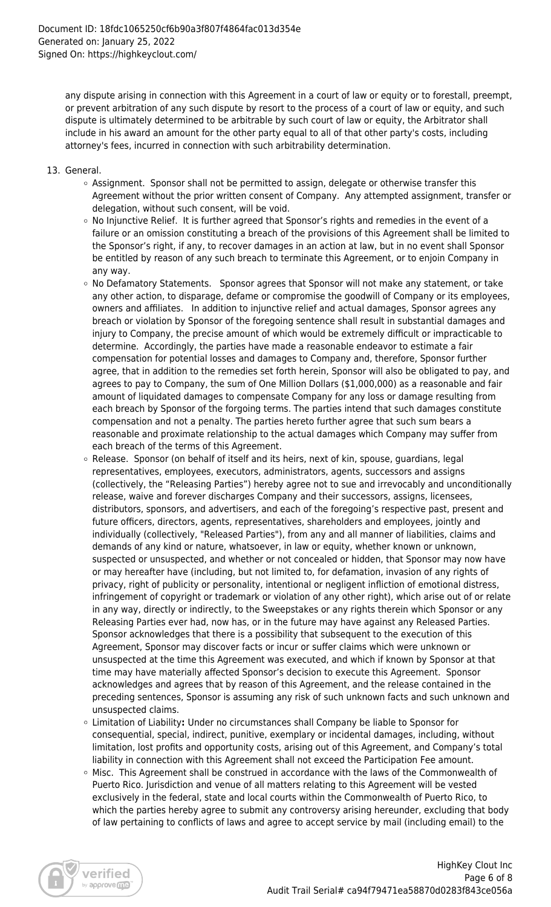any dispute arising in connection with this Agreement in a court of law or equity or to forestall, preempt, or prevent arbitration of any such dispute by resort to the process of a court of law or equity, and such dispute is ultimately determined to be arbitrable by such court of law or equity, the Arbitrator shall include in his award an amount for the other party equal to all of that other party's costs, including attorney's fees, incurred in connection with such arbitrability determination.

- 13. General.
	- $\circ$  Assignment. Sponsor shall not be permitted to assign, delegate or otherwise transfer this Agreement without the prior written consent of Company. Any attempted assignment, transfer or delegation, without such consent, will be void.
	- $\circ$  No Injunctive Relief. It is further agreed that Sponsor's rights and remedies in the event of a failure or an omission constituting a breach of the provisions of this Agreement shall be limited to the Sponsor's right, if any, to recover damages in an action at law, but in no event shall Sponsor be entitled by reason of any such breach to terminate this Agreement, or to enjoin Company in any way.
	- $\circ$  No Defamatory Statements. Sponsor agrees that Sponsor will not make any statement, or take any other action, to disparage, defame or compromise the goodwill of Company or its employees, owners and affiliates. In addition to injunctive relief and actual damages, Sponsor agrees any breach or violation by Sponsor of the foregoing sentence shall result in substantial damages and injury to Company, the precise amount of which would be extremely difficult or impracticable to determine. Accordingly, the parties have made a reasonable endeavor to estimate a fair compensation for potential losses and damages to Company and, therefore, Sponsor further agree, that in addition to the remedies set forth herein, Sponsor will also be obligated to pay, and agrees to pay to Company, the sum of One Million Dollars (\$1,000,000) as a reasonable and fair amount of liquidated damages to compensate Company for any loss or damage resulting from each breach by Sponsor of the forgoing terms. The parties intend that such damages constitute compensation and not a penalty. The parties hereto further agree that such sum bears a reasonable and proximate relationship to the actual damages which Company may suffer from each breach of the terms of this Agreement.
	- $\circ$  Release. Sponsor (on behalf of itself and its heirs, next of kin, spouse, guardians, legal representatives, employees, executors, administrators, agents, successors and assigns (collectively, the "Releasing Parties") hereby agree not to sue and irrevocably and unconditionally release, waive and forever discharges Company and their successors, assigns, licensees, distributors, sponsors, and advertisers, and each of the foregoing's respective past, present and future officers, directors, agents, representatives, shareholders and employees, jointly and individually (collectively, "Released Parties"), from any and all manner of liabilities, claims and demands of any kind or nature, whatsoever, in law or equity, whether known or unknown, suspected or unsuspected, and whether or not concealed or hidden, that Sponsor may now have or may hereafter have (including, but not limited to, for defamation, invasion of any rights of privacy, right of publicity or personality, intentional or negligent infliction of emotional distress, infringement of copyright or trademark or violation of any other right), which arise out of or relate in any way, directly or indirectly, to the Sweepstakes or any rights therein which Sponsor or any Releasing Parties ever had, now has, or in the future may have against any Released Parties. Sponsor acknowledges that there is a possibility that subsequent to the execution of this Agreement, Sponsor may discover facts or incur or suffer claims which were unknown or unsuspected at the time this Agreement was executed, and which if known by Sponsor at that time may have materially affected Sponsor's decision to execute this Agreement. Sponsor acknowledges and agrees that by reason of this Agreement, and the release contained in the preceding sentences, Sponsor is assuming any risk of such unknown facts and such unknown and unsuspected claims.
	- Limitation of Liability**:** Under no circumstances shall Company be liable to Sponsor for consequential, special, indirect, punitive, exemplary or incidental damages, including, without limitation, lost profits and opportunity costs, arising out of this Agreement, and Company's total liability in connection with this Agreement shall not exceed the Participation Fee amount.
	- $\circ$  Misc. This Agreement shall be construed in accordance with the laws of the Commonwealth of Puerto Rico. Jurisdiction and venue of all matters relating to this Agreement will be vested exclusively in the federal, state and local courts within the Commonwealth of Puerto Rico, to which the parties hereby agree to submit any controversy arising hereunder, excluding that body of law pertaining to conflicts of laws and agree to accept service by mail (including email) to the

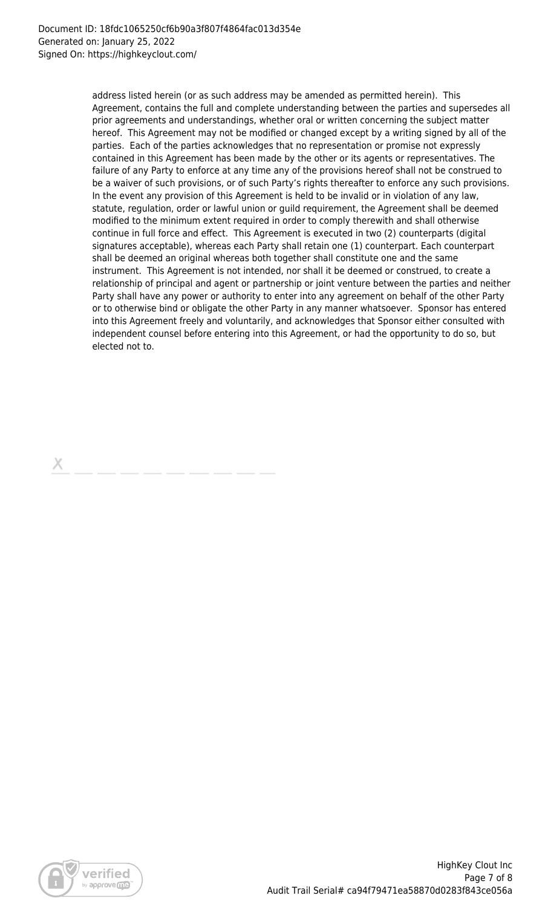address listed herein (or as such address may be amended as permitted herein). This Agreement, contains the full and complete understanding between the parties and supersedes all prior agreements and understandings, whether oral or written concerning the subject matter hereof. This Agreement may not be modified or changed except by a writing signed by all of the parties. Each of the parties acknowledges that no representation or promise not expressly contained in this Agreement has been made by the other or its agents or representatives. The failure of any Party to enforce at any time any of the provisions hereof shall not be construed to be a waiver of such provisions, or of such Party's rights thereafter to enforce any such provisions. In the event any provision of this Agreement is held to be invalid or in violation of any law, statute, regulation, order or lawful union or guild requirement, the Agreement shall be deemed modified to the minimum extent required in order to comply therewith and shall otherwise continue in full force and effect. This Agreement is executed in two (2) counterparts (digital signatures acceptable), whereas each Party shall retain one (1) counterpart. Each counterpart shall be deemed an original whereas both together shall constitute one and the same instrument. This Agreement is not intended, nor shall it be deemed or construed, to create a relationship of principal and agent or partnership or joint venture between the parties and neither Party shall have any power or authority to enter into any agreement on behalf of the other Party or to otherwise bind or obligate the other Party in any manner whatsoever. Sponsor has entered into this Agreement freely and voluntarily, and acknowledges that Sponsor either consulted with independent counsel before entering into this Agreement, or had the opportunity to do so, but elected not to.



Х